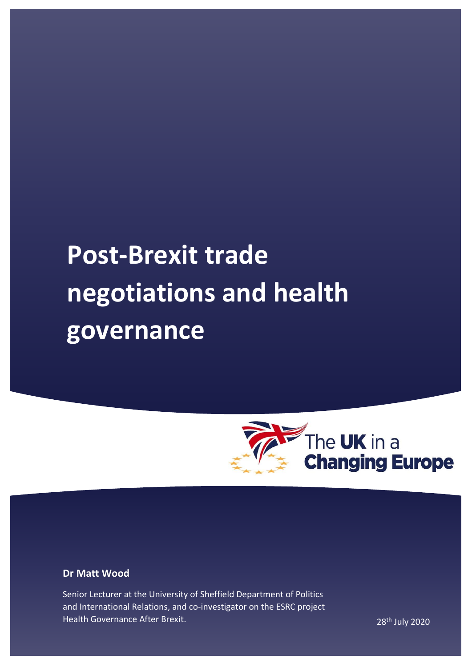# **Post-Brexit trade negotiations and health governance**



## **Dr Matt Wood**

Senior Lecturer at the University of Sheffield Department of Politics and International Relations, and co-investigator on the ESRC project Health Governance After Brexit. 28th July 2020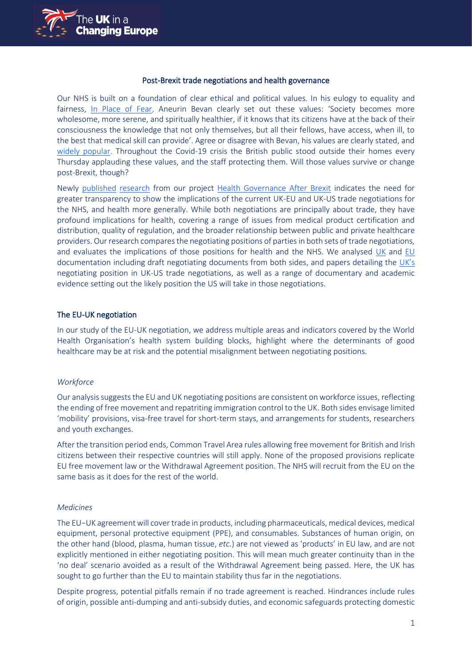

#### Post-Brexit trade negotiations and health governance

Our NHS is built on a foundation of clear ethical and political values. In his eulogy to equality and fairness, [In Place of Fear,](https://archive.org/stream/in.ernet.dli.2015.537058/2015.537058.In-Place_djvu.txt) Aneurin Bevan clearly set out these values: 'Society becomes more wholesome, more serene, and spiritually healthier, if it knows that its citizens have at the back of their consciousness the knowledge that not only themselves, but all their fellows, have access, when ill, to the best that medical skill can provide'. Agree or disagree with Bevan, his values are clearly stated, and [widely popular.](https://yougov.co.uk/topics/politics/articles-reports/2019/11/13/half-britons-support-raising-tax-fund-nhs) Throughout the Covid-19 crisis the British public stood outside their homes every Thursday applauding these values, and the staff protecting them. Will those values survive or change post-Brexit, though?

Newly [published](https://www.cambridge.org/core/journals/health-economics-policy-and-law/article/assessing-the-potential-impact-on-health-of-the-uks-future-relationship-agreement-with-the-eu-analysis-of-the-negotiating-positions/7AF3CFD41CDCBDCD7FE528EC481DBF0F) [research](https://www.bmj.com/content/369/bmj.m2307) from our project [Health Governance After Brexit](https://www.sheffield.ac.uk/law/news/health-governance-after-brexit-law-language-and-legitimacy) indicates the need for greater transparency to show the implications of the current UK-EU and UK-US trade negotiations for the NHS, and health more generally. While both negotiations are principally about trade, they have profound implications for health, covering a range of issues from medical product certification and distribution, quality of regulation, and the broader relationship between public and private healthcare providers. Our research compares the negotiating positions of parties in both sets of trade negotiations, and evaluates the implications of those positions for health and the NHS. We analysed [UK](https://www.gov.uk/government/publications/our-approach-to-the-future-relationship-with-the-eu) and [EU](https://ec.europa.eu/info/european-union-and-united-kingdom-forging-new-partnership_en) documentation including draft negotiating documents from both sides, and papers detailing the [UK's](https://www.gov.uk/government/publications/the-uks-approach-to-trade-negotiations-with-the-us) negotiating position in UK-US trade negotiations, as well as a range of documentary and academic evidence setting out the likely position the US will take in those negotiations.

#### The EU-UK negotiation

In our study of the EU-UK negotiation, we address multiple areas and indicators covered by the World Health Organisation's health system building blocks, highlight where the determinants of good healthcare may be at risk and the potential misalignment between negotiating positions.

#### *Workforce*

Our analysis suggests the EU and UK negotiating positions are consistent on workforce issues, reflecting the ending of free movement and repatriting immigration control to the UK. Both sides envisage limited 'mobility' provisions, visa-free travel for short-term stays, and arrangements for students, researchers and youth exchanges.

After the transition period ends, Common Travel Area rules allowing free movement for British and Irish citizens between their respective countries will still apply. None of the proposed provisions replicate EU free movement law or the Withdrawal Agreement position. The NHS will recruit from the EU on the same basis as it does for the rest of the world.

#### *Medicines*

The EU−UK agreement will cover trade in products, including pharmaceuticals, medical devices, medical equipment, personal protective equipment (PPE), and consumables. Substances of human origin, on the other hand (blood, plasma, human tissue, *etc*.) are not viewed as 'products' in EU law, and are not explicitly mentioned in either negotiating position. This will mean much greater continuity than in the 'no deal' scenario avoided as a result of the Withdrawal Agreement being passed. Here, the UK has sought to go further than the EU to maintain stability thus far in the negotiations.

Despite progress, potential pitfalls remain if no trade agreement is reached. Hindrances include rules of origin, possible anti-dumping and anti-subsidy duties, and economic safeguards protecting domestic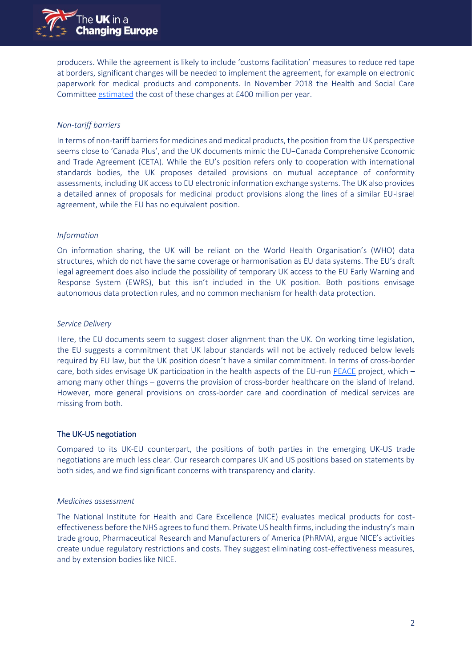

producers. While the agreement is likely to include 'customs facilitation' measures to reduce red tape at borders, significant changes will be needed to implement the agreement, for example on electronic paperwork for medical products and components. In November 2018 the Health and Social Care Committee [estimated](http://data.parliament.uk/writtenevidence/committeeevidence.svc/evidencedocument/health-and-social-care-committee/impact-of-the-brexit-withdrawal-agreement-on-health-and-social-care/oral/93050.html) the cost of these changes at £400 million per year.

### *Non-tariff barriers*

In terms of non-tariff barriers for medicines and medical products, the position from the UK perspective seems close to 'Canada Plus', and the UK documents mimic the EU−Canada Comprehensive Economic and Trade Agreement (CETA). While the EU's position refers only to cooperation with international standards bodies, the UK proposes detailed provisions on mutual acceptance of conformity assessments, including UK access to EU electronic information exchange systems. The UK also provides a detailed annex of proposals for medicinal product provisions along the lines of a similar EU-Israel agreement, while the EU has no equivalent position.

#### *Information*

On information sharing, the UK will be reliant on the World Health Organisation's (WHO) data structures, which do not have the same coverage or harmonisation as EU data systems. The EU's draft legal agreement does also include the possibility of temporary UK access to the EU Early Warning and Response System (EWRS), but this isn't included in the UK position. Both positions envisage autonomous data protection rules, and no common mechanism for health data protection.

#### *Service Delivery*

Here, the EU documents seem to suggest closer alignment than the UK. On working time legislation, the EU suggests a commitment that UK labour standards will not be actively reduced below levels required by EU law, but the UK position doesn't have a similar commitment. In terms of cross-border care, both sides envisage UK participation in the health aspects of the EU-run [PEACE](https://www.europarl.europa.eu/factsheets/en/sheet/102/northern-ireland-peace-programme) project, which – among many other things – governs the provision of cross-border healthcare on the island of Ireland. However, more general provisions on cross-border care and coordination of medical services are missing from both.

#### The UK-US negotiation

Compared to its UK-EU counterpart, the positions of both parties in the emerging UK-US trade negotiations are much less clear. Our research compares UK and US positions based on statements by both sides, and we find significant concerns with transparency and clarity.

#### *Medicines assessment*

The National Institute for Health and Care Excellence (NICE) evaluates medical products for costeffectiveness before the NHS agrees to fund them. Private US health firms, including the industry's main trade group, Pharmaceutical Research and Manufacturers of America (PhRMA), argue NICE's activities create undue regulatory restrictions and costs. They suggest eliminating cost-effectiveness measures, and by extension bodies like NICE.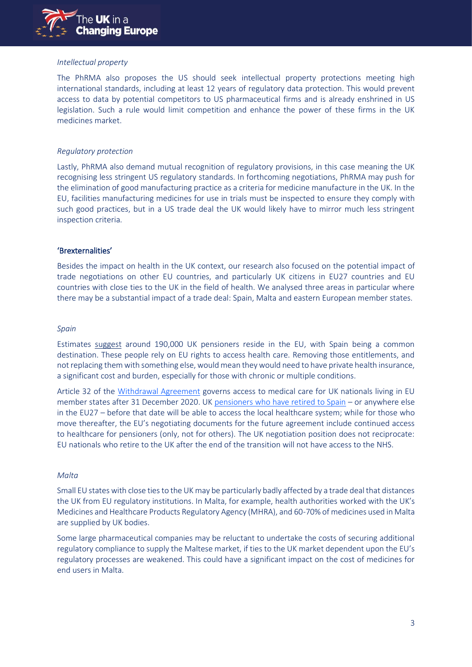

## *Intellectual property*

The PhRMA also proposes the US should seek intellectual property protections meeting high international standards, including at least 12 years of regulatory data protection. This would prevent access to data by potential competitors to US pharmaceutical firms and is already enshrined in US legislation. Such a rule would limit competition and enhance the power of these firms in the UK medicines market.

#### *Regulatory protection*

Lastly, PhRMA also demand mutual recognition of regulatory provisions, in this case meaning the UK recognising less stringent US regulatory standards. In forthcoming negotiations, PhRMA may push for the elimination of good manufacturing practice as a criteria for medicine manufacture in the UK. In the EU, facilities manufacturing medicines for use in trials must be inspected to ensure they comply with such good practices, but in a US trade deal the UK would likely have to mirror much less stringent inspection criteria.

## 'Brexternalities'

Besides the impact on health in the UK context, our research also focused on the potential impact of trade negotiations on other EU countries, and particularly UK citizens in EU27 countries and EU countries with close ties to the UK in the field of health. We analysed three areas in particular where there may be a substantial impact of a trade deal: Spain, Malta and eastern European member states.

#### *Spain*

Estimates [suggest](https://www.parliament.uk/business/committees/committees-a-z/lords-select/eu-home-affairs-subcommittee/inquiries/parliament-2017/brexit-reciprocal-healthcare/) around 190,000 UK pensioners reside in the EU, with Spain being a common destination. These people rely on EU rights to access health care. Removing those entitlements, and not replacing them with something else, would mean they would need to have private health insurance, a significant cost and burden, especially for those with chronic or multiple conditions.

Article 32 of the [Withdrawal Agreement](https://assets.publishing.service.gov.uk/government/uploads/system/uploads/attachment_data/file/840655/Agreement_on_the_withdrawal_of_the_United_Kingdom_of_Great_Britain_and_Northern_Ireland_from_the_European_Union_and_the_European_Atomic_Energy_Community.pdf) governs access to medical care for UK nationals living in EU member states after 31 December 2020. UK [pensioners who have retired to Spain](https://www.parliament.uk/business/committees/committees-a-z/lords-select/eu-home-affairs-subcommittee/inquiries/parliament-2017/brexit-reciprocal-healthcare/) – or anywhere else in the EU27 – before that date will be able to access the local healthcare system; while for those who move thereafter, the EU's negotiating documents for the future agreement include continued access to healthcare for pensioners (only, not for others). The UK negotiation position does not reciprocate: EU nationals who retire to the UK after the end of the transition will not have access to the NHS.

#### *Malta*

Small EU states with close ties to the UK may be particularly badly affected by a trade deal that distances the UK from EU regulatory institutions. In Malta, for example, health authorities worked with the UK's Medicines and Healthcare Products Regulatory Agency (MHRA), and 60-70% of medicines used in Malta are supplied by UK bodies.

Some large pharmaceutical companies may be reluctant to undertake the costs of securing additional regulatory compliance to supply the Maltese market, if ties to the UK market dependent upon the EU's regulatory processes are weakened. This could have a significant impact on the cost of medicines for end users in Malta.